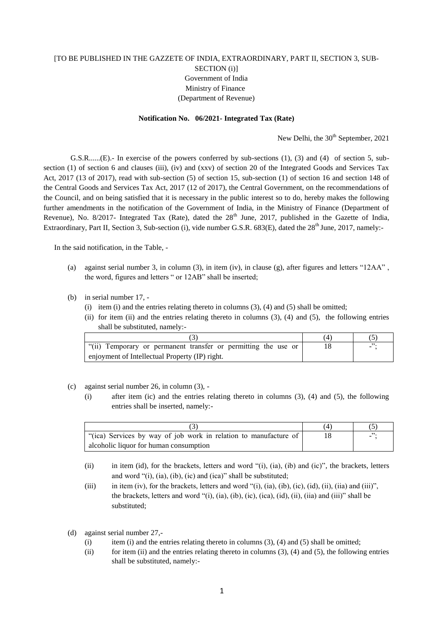## [TO BE PUBLISHED IN THE GAZZETE OF INDIA, EXTRAORDINARY, PART II, SECTION 3, SUB-SECTION (i)] Government of India Ministry of Finance (Department of Revenue)

## **Notification No. 06/2021- Integrated Tax (Rate)**

New Delhi, the  $30<sup>th</sup>$  September, 2021

G.S.R......(E).- In exercise of the powers conferred by sub-sections (1), (3) and (4) of section 5, subsection (1) of section 6 and clauses (iii), (iv) and (xxv) of section 20 of the Integrated Goods and Services Tax Act, 2017 (13 of 2017), read with sub-section (5) of section 15, sub-section (1) of section 16 and section 148 of the Central Goods and Services Tax Act, 2017 (12 of 2017), the Central Government, on the recommendations of the Council, and on being satisfied that it is necessary in the public interest so to do, hereby makes the following further amendments in the notification of the Government of India, in the Ministry of Finance (Department of Revenue), No. 8/2017- Integrated Tax (Rate), dated the  $28<sup>th</sup>$  June, 2017, published in the Gazette of India, Extraordinary, Part II, Section 3, Sub-section (i), vide number G.S.R. 683(E), dated the 28<sup>th</sup> June, 2017, namely:-

In the said notification, in the Table, -

- (a) against serial number 3, in column (3), in item (iv), in clause (g), after figures and letters "12AA" , the word, figures and letters " or 12AB" shall be inserted;
- (b) in serial number 17,
	- (i) item (i) and the entries relating thereto in columns  $(3)$ ,  $(4)$  and  $(5)$  shall be omitted;
	- (ii) for item (ii) and the entries relating thereto in columns  $(3)$ ,  $(4)$  and  $(5)$ , the following entries shall be substituted, namely:-

| "(ii)<br>Temporary or permanent transfer or permitting the use or |  |
|-------------------------------------------------------------------|--|
| enjoyment of Intellectual Property (IP) right.                    |  |

- (c) against serial number 26, in column (3),
	- (i) after item (ic) and the entries relating thereto in columns (3), (4) and (5), the following entries shall be inserted, namely:-

| "(ica) Services by way of job work in relation to manufacture of |  |
|------------------------------------------------------------------|--|
| alcoholic liquor for human consumption                           |  |

- (ii) in item (id), for the brackets, letters and word "(i), (ia), (ib) and (ic)", the brackets, letters and word "(i), (ia), (ib), (ic) and (ica)" shall be substituted;
- (iii) in item (iv), for the brackets, letters and word "(i), (ia), (ib), (ic), (id), (ii), (iia) and (iii)", the brackets, letters and word "(i), (ia), (ib), (ic), (ica), (id), (ii), (iia) and (iii)" shall be substituted;
- (d) against serial number 27,-
	- (i) item (i) and the entries relating thereto in columns  $(3)$ ,  $(4)$  and  $(5)$  shall be omitted;
	- (ii) for item (ii) and the entries relating thereto in columns  $(3)$ ,  $(4)$  and  $(5)$ , the following entries shall be substituted, namely:-